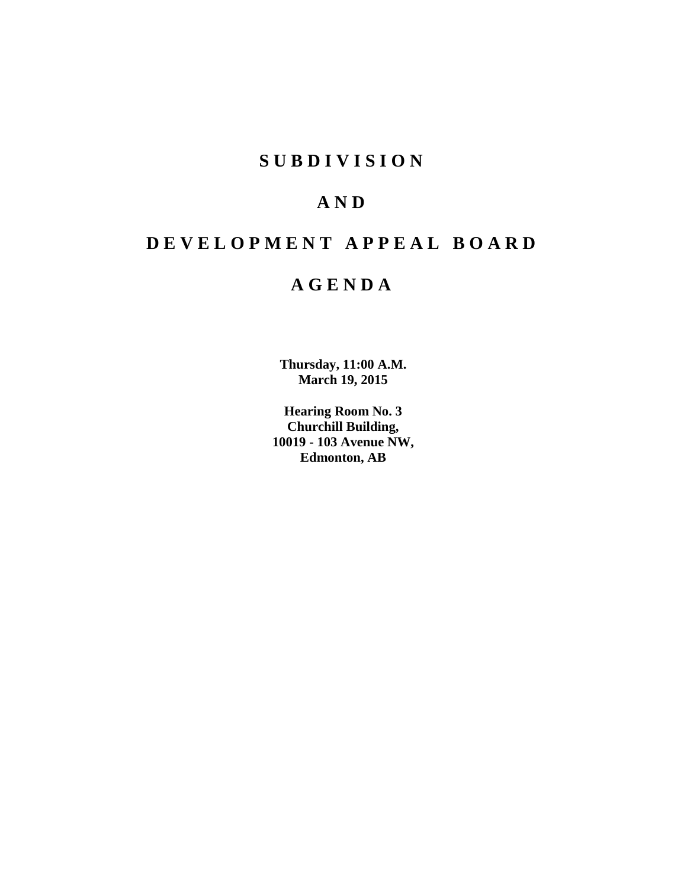# **SUBDIVISION**

# **AND**

# **DEVELOPMENT APPEAL BOARD**

# **AGENDA**

**Thursday, 11:00 A.M. March 19, 2015**

**Hearing Room No. 3 Churchill Building, 10019 - 103 Avenue NW, Edmonton, AB**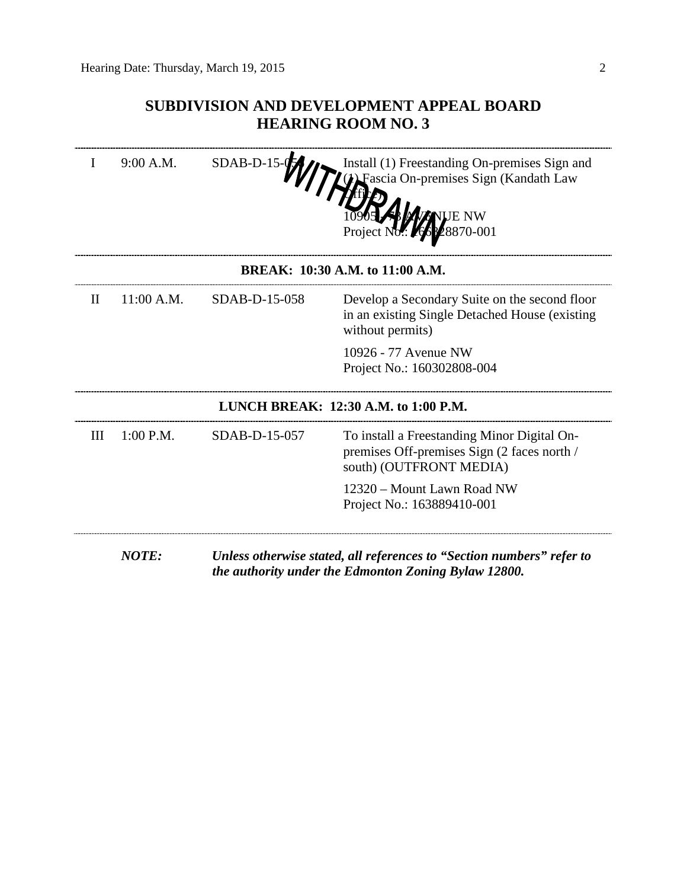# **SUBDIVISION AND DEVELOPMENT APPEAL BOARD HEARING ROOM NO. 3**

|                                 | 9:00 A.M.    | SDAB-D-15     | Install (1) Freestanding On-premises Sign and<br>Fascia On-premises Sign (Kandath Law<br>870-001                      |  |  |
|---------------------------------|--------------|---------------|-----------------------------------------------------------------------------------------------------------------------|--|--|
| BREAK: 10:30 A.M. to 11:00 A.M. |              |               |                                                                                                                       |  |  |
| $\mathbf{I}$                    | 11:00 A.M.   | SDAB-D-15-058 | Develop a Secondary Suite on the second floor<br>in an existing Single Detached House (existing)<br>without permits)  |  |  |
|                                 |              |               | 10926 - 77 Avenue NW<br>Project No.: 160302808-004                                                                    |  |  |
|                                 |              |               | LUNCH BREAK: 12:30 A.M. to 1:00 P.M.                                                                                  |  |  |
| III                             | $1:00$ P.M.  | SDAB-D-15-057 | To install a Freestanding Minor Digital On-<br>premises Off-premises Sign (2 faces north /<br>south) (OUTFRONT MEDIA) |  |  |
|                                 |              |               | 12320 – Mount Lawn Road NW<br>Project No.: 163889410-001                                                              |  |  |
|                                 | <b>NOTE:</b> |               | Unless otherwise stated, all references to "Section numbers" refer to                                                 |  |  |

*the authority under the Edmonton Zoning Bylaw 12800.*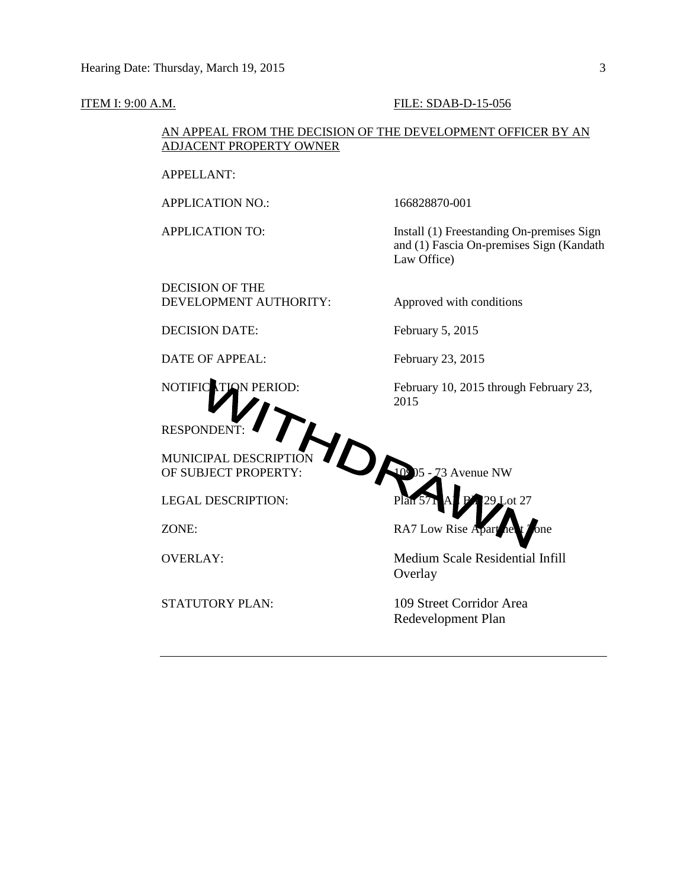### **ITEM I: 9:00 A.M. FILE: SDAB-D-15-056**

## AN APPEAL FROM THE DECISION OF THE DEVELOPMENT OFFICER BY AN ADJACENT PROPERTY OWNER

APPELLANT:

APPLICATION NO.: 166828870-001

APPLICATION TO: Install (1) Freestanding On-premises Sign and (1) Fascia On-premises Sign (Kandath Law Office)

DECISION OF THE DEVELOPMENT AUTHORITY: Approved with conditions

DECISION DATE: February 5, 2015

DATE OF APPEAL: February 23, 2015

RESPONDENT:

MUNICIPAL DESCRIPTION

NOTIFIC ATION PERIOD: February 10, 2015 through February 23, 2015



OVERLAY: Medium Scale Residential Infill **Overlay** 

STATUTORY PLAN: 109 Street Corridor Area Redevelopment Plan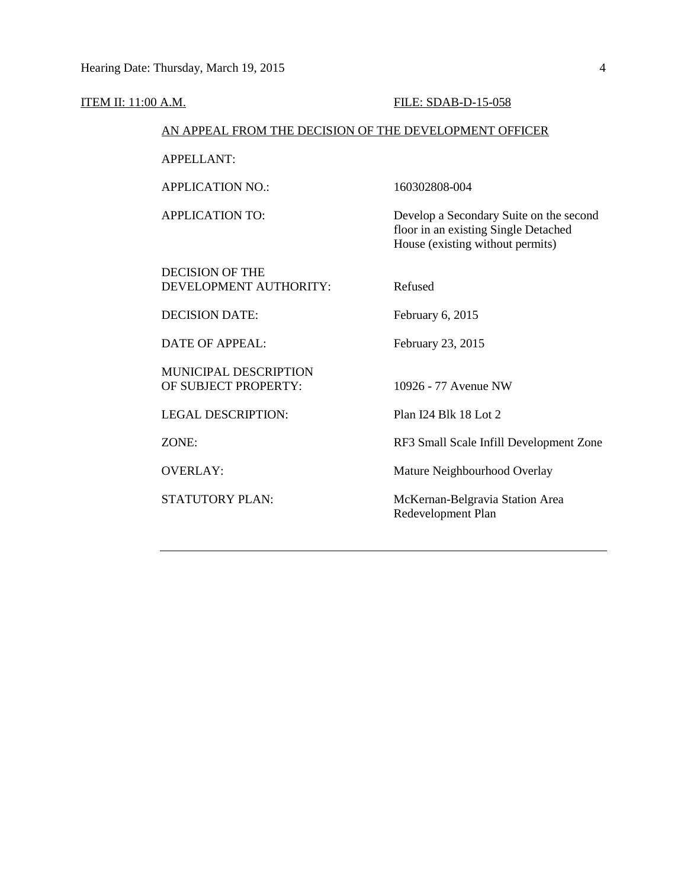### ITEM II: 11:00 A.M. FILE: SDAB-D-15-058

### AN APPEAL FROM THE DECISION OF THE DEVELOPMENT OFFICER

APPELLANT:

APPLICATION NO.: 160302808-004

DECISION OF THE DEVELOPMENT AUTHORITY: Refused

DECISION DATE: February 6, 2015

DATE OF APPEAL: February 23, 2015

MUNICIPAL DESCRIPTION OF SUBJECT PROPERTY: 10926 - 77 Avenue NW

LEGAL DESCRIPTION: Plan I24 Blk 18 Lot 2

APPLICATION TO: Develop a Secondary Suite on the second floor in an existing Single Detached House (existing without permits)

ZONE: RF3 Small Scale Infill Development Zone

OVERLAY: Mature Neighbourhood Overlay

STATUTORY PLAN: McKernan-Belgravia Station Area Redevelopment Plan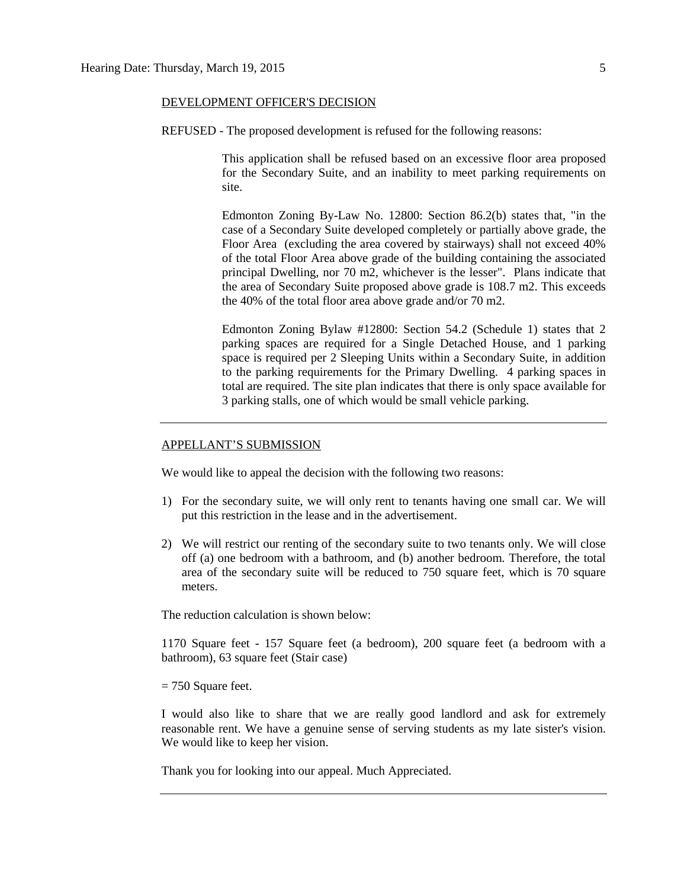### DEVELOPMENT OFFICER'S DECISION

REFUSED - The proposed development is refused for the following reasons:

This application shall be refused based on an excessive floor area proposed for the Secondary Suite, and an inability to meet parking requirements on site.

Edmonton Zoning By-Law No. 12800: Section 86.2(b) states that, "in the case of a Secondary Suite developed completely or partially above grade, the Floor Area (excluding the area covered by stairways) shall not exceed 40% of the total Floor Area above grade of the building containing the associated principal Dwelling, nor 70 m2, whichever is the lesser". Plans indicate that the area of Secondary Suite proposed above grade is 108.7 m2. This exceeds the 40% of the total floor area above grade and/or 70 m2.

Edmonton Zoning Bylaw #12800: Section 54.2 (Schedule 1) states that 2 parking spaces are required for a Single Detached House, and 1 parking space is required per 2 Sleeping Units within a Secondary Suite, in addition to the parking requirements for the Primary Dwelling. 4 parking spaces in total are required. The site plan indicates that there is only space available for 3 parking stalls, one of which would be small vehicle parking.

### APPELLANT'S SUBMISSION

We would like to appeal the decision with the following two reasons:

- 1) For the secondary suite, we will only rent to tenants having one small car. We will put this restriction in the lease and in the advertisement.
- 2) We will restrict our renting of the secondary suite to two tenants only. We will close off (a) one bedroom with a bathroom, and (b) another bedroom. Therefore, the total area of the secondary suite will be reduced to 750 square feet, which is 70 square meters.

The reduction calculation is shown below:

1170 Square feet - 157 Square feet (a bedroom), 200 square feet (a bedroom with a bathroom), 63 square feet (Stair case)

 $= 750$  Square feet.

I would also like to share that we are really good landlord and ask for extremely reasonable rent. We have a genuine sense of serving students as my late sister's vision. We would like to keep her vision.

Thank you for looking into our appeal. Much Appreciated.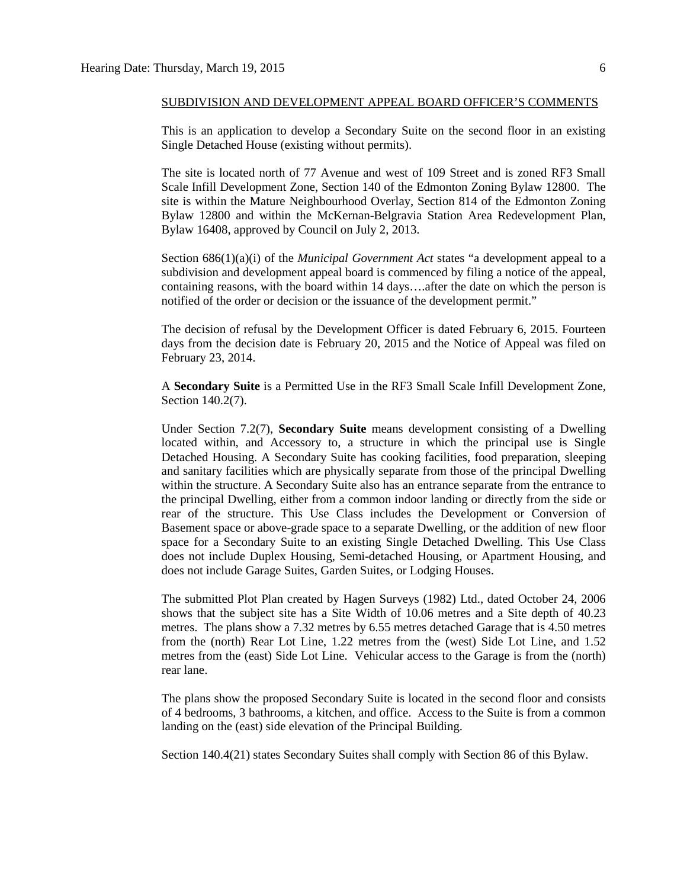This is an application to develop a Secondary Suite on the second floor in an existing Single Detached House (existing without permits).

The site is located north of 77 Avenue and west of 109 Street and is zoned RF3 Small Scale Infill Development Zone, Section 140 of the Edmonton Zoning Bylaw 12800. The site is within the Mature Neighbourhood Overlay, Section 814 of the Edmonton Zoning Bylaw 12800 and within the McKernan-Belgravia Station Area Redevelopment Plan, Bylaw 16408, approved by Council on July 2, 2013.

Section 686(1)(a)(i) of the *Municipal Government Act* states "a development appeal to a subdivision and development appeal board is commenced by filing a notice of the appeal, containing reasons, with the board within 14 days….after the date on which the person is notified of the order or decision or the issuance of the development permit."

The decision of refusal by the Development Officer is dated February 6, 2015. Fourteen days from the decision date is February 20, 2015 and the Notice of Appeal was filed on February 23, 2014.

A **Secondary Suite** is a Permitted Use in the RF3 Small Scale Infill Development Zone, Section 140.2(7).

Under Section 7.2(7), **Secondary Suite** means development consisting of a Dwelling located within, and Accessory to, a structure in which the principal use is Single Detached Housing. A Secondary Suite has cooking facilities, food preparation, sleeping and sanitary facilities which are physically separate from those of the principal Dwelling within the structure. A Secondary Suite also has an entrance separate from the entrance to the principal Dwelling, either from a common indoor landing or directly from the side or rear of the structure. This Use Class includes the Development or Conversion of Basement space or above-grade space to a separate Dwelling, or the addition of new floor space for a Secondary Suite to an existing Single Detached Dwelling. This Use Class does not include Duplex Housing, Semi-detached Housing, or Apartment Housing, and does not include Garage Suites, Garden Suites, or Lodging Houses.

The submitted Plot Plan created by Hagen Surveys (1982) Ltd., dated October 24, 2006 shows that the subject site has a Site Width of 10.06 metres and a Site depth of 40.23 metres. The plans show a 7.32 metres by 6.55 metres detached Garage that is 4.50 metres from the (north) Rear Lot Line, 1.22 metres from the (west) Side Lot Line, and 1.52 metres from the (east) Side Lot Line. Vehicular access to the Garage is from the (north) rear lane.

The plans show the proposed Secondary Suite is located in the second floor and consists of 4 bedrooms, 3 bathrooms, a kitchen, and office. Access to the Suite is from a common landing on the (east) side elevation of the Principal Building.

Section 140.4(21) states Secondary Suites shall comply with Section 86 of this Bylaw.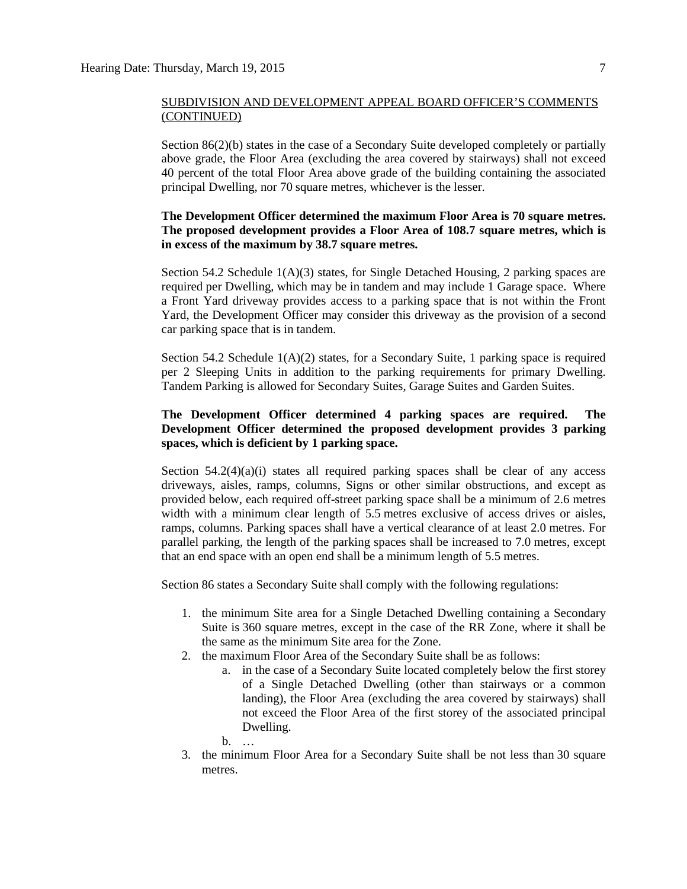Section 86(2)(b) states in the case of a Secondary Suite developed completely or partially above grade, the Floor Area (excluding the area covered by stairways) shall not exceed 40 percent of the total Floor Area above grade of the building containing the associated principal Dwelling, nor 70 square metres, whichever is the lesser.

# **The Development Officer determined the maximum Floor Area is 70 square metres. The proposed development provides a Floor Area of 108.7 square metres, which is in excess of the maximum by 38.7 square metres.**

Section 54.2 Schedule  $1(A)(3)$  states, for Single Detached Housing, 2 parking spaces are required per Dwelling, which may be in tandem and may include 1 Garage space. Where a Front Yard driveway provides access to a parking space that is not within the Front Yard, the Development Officer may consider this driveway as the provision of a second car parking space that is in tandem.

Section 54.2 Schedule  $1(A)(2)$  states, for a Secondary Suite, 1 parking space is required per 2 Sleeping Units in addition to the parking requirements for primary Dwelling. Tandem Parking is allowed for Secondary Suites, Garage Suites and Garden Suites.

# **The Development Officer determined 4 parking spaces are required. The Development Officer determined the proposed development provides 3 parking spaces, which is deficient by 1 parking space.**

Section  $54.2(4)(a)(i)$  states all required parking spaces shall be clear of any access driveways, aisles, ramps, columns, Signs or other similar obstructions, and except as provided below, each required off-street parking space shall be a minimum of 2.6 metres width with a minimum clear length of 5.5 metres exclusive of access drives or aisles, ramps, columns. Parking spaces shall have a vertical clearance of at least 2.0 metres. For parallel parking, the length of the parking spaces shall be increased to 7.0 metres, except that an end space with an open end shall be a minimum length of 5.5 metres.

Section 86 states a Secondary Suite shall comply with the following regulations:

- 1. the minimum Site area for a Single Detached Dwelling containing a Secondary Suite is 360 square metres, except in the case of the RR Zone, where it shall be the same as the minimum Site area for the Zone.
- 2. the maximum Floor Area of the Secondary Suite shall be as follows:
	- a. in the case of a Secondary Suite located completely below the first storey of a Single Detached Dwelling (other than stairways or a common landing), the Floor Area (excluding the area covered by stairways) shall not exceed the Floor Area of the first storey of the associated principal Dwelling.
	- b. …
- 3. the minimum Floor Area for a Secondary Suite shall be not less than 30 square metres.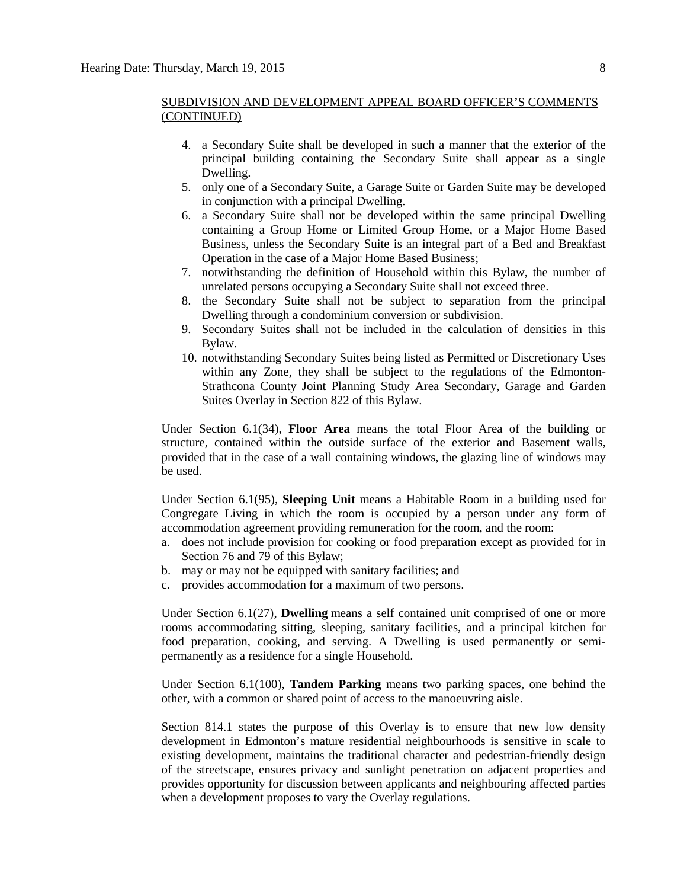- 4. a Secondary Suite shall be developed in such a manner that the exterior of the principal building containing the Secondary Suite shall appear as a single Dwelling.
- 5. only one of a Secondary Suite, a Garage Suite or Garden Suite may be developed in conjunction with a principal Dwelling.
- 6. a Secondary Suite shall not be developed within the same principal Dwelling containing a Group Home or Limited Group Home, or a Major Home Based Business, unless the Secondary Suite is an integral part of a Bed and Breakfast Operation in the case of a Major Home Based Business;
- 7. notwithstanding the definition of Household within this Bylaw, the number of unrelated persons occupying a Secondary Suite shall not exceed three.
- 8. the Secondary Suite shall not be subject to separation from the principal Dwelling through a condominium conversion or subdivision.
- 9. Secondary Suites shall not be included in the calculation of densities in this Bylaw.
- 10. notwithstanding Secondary Suites being listed as Permitted or Discretionary Uses within any Zone, they shall be subject to the regulations of the Edmonton-Strathcona County Joint Planning Study Area Secondary, Garage and Garden Suites Overlay in Section 822 of this Bylaw.

Under Section 6.1(34), **Floor Area** means the total Floor Area of the building or structure, contained within the outside surface of the exterior and Basement walls, provided that in the case of a wall containing windows, the glazing line of windows may be used.

Under Section 6.1(95), **Sleeping Unit** means a Habitable Room in a building used for Congregate Living in which the room is occupied by a person under any form of accommodation agreement providing remuneration for the room, and the room:

- a. does not include provision for cooking or food preparation except as provided for in Section 76 and 79 of this Bylaw;
- b. may or may not be equipped with sanitary facilities; and
- c. provides accommodation for a maximum of two persons.

Under Section 6.1(27), **Dwelling** means a self contained unit comprised of one or more rooms accommodating sitting, sleeping, sanitary facilities, and a principal kitchen for food preparation, cooking, and serving. A Dwelling is used permanently or semipermanently as a residence for a single Household.

Under Section 6.1(100), **Tandem Parking** means two parking spaces, one behind the other, with a common or shared point of access to the manoeuvring aisle.

Section 814.1 states the purpose of this Overlay is to ensure that new low density development in Edmonton's mature residential neighbourhoods is sensitive in scale to existing development, maintains the traditional character and pedestrian-friendly design of the streetscape, ensures privacy and sunlight penetration on adjacent properties and provides opportunity for discussion between applicants and neighbouring affected parties when a development proposes to vary the Overlay regulations.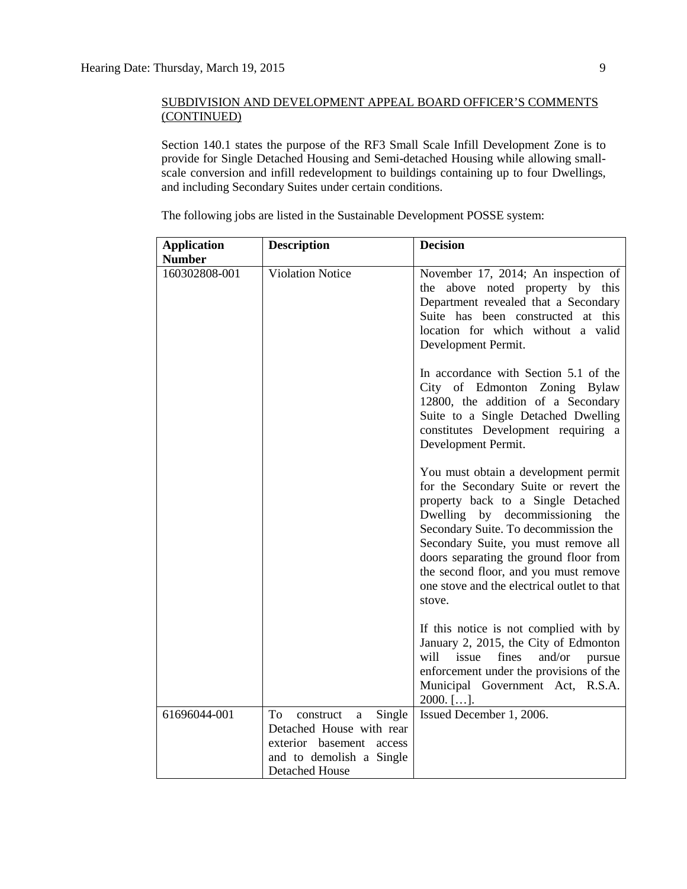Section 140.1 states the purpose of the RF3 Small Scale Infill Development Zone is to provide for Single Detached Housing and Semi-detached Housing while allowing smallscale conversion and infill redevelopment to buildings containing up to four Dwellings, and including Secondary Suites under certain conditions.

| <b>Application</b>             | <b>Description</b>                                                                                                                          | <b>Decision</b>                                                                                                                                                                                                                                                                                                                                                                       |
|--------------------------------|---------------------------------------------------------------------------------------------------------------------------------------------|---------------------------------------------------------------------------------------------------------------------------------------------------------------------------------------------------------------------------------------------------------------------------------------------------------------------------------------------------------------------------------------|
| <b>Number</b><br>160302808-001 | <b>Violation Notice</b>                                                                                                                     | November 17, 2014; An inspection of<br>the above noted property by this<br>Department revealed that a Secondary<br>Suite has been constructed at this<br>location for which without a valid<br>Development Permit.                                                                                                                                                                    |
|                                |                                                                                                                                             | In accordance with Section 5.1 of the<br>City of Edmonton Zoning Bylaw<br>12800, the addition of a Secondary<br>Suite to a Single Detached Dwelling<br>constitutes Development requiring a<br>Development Permit.                                                                                                                                                                     |
|                                |                                                                                                                                             | You must obtain a development permit<br>for the Secondary Suite or revert the<br>property back to a Single Detached<br>Dwelling by decommissioning<br>the<br>Secondary Suite. To decommission the<br>Secondary Suite, you must remove all<br>doors separating the ground floor from<br>the second floor, and you must remove<br>one stove and the electrical outlet to that<br>stove. |
|                                |                                                                                                                                             | If this notice is not complied with by<br>January 2, 2015, the City of Edmonton<br>fines<br>will<br>issue<br>and/or<br>pursue<br>enforcement under the provisions of the<br>Municipal Government Act, R.S.A.<br>$2000.$ [].                                                                                                                                                           |
| 61696044-001                   | To<br>construct<br>Single<br>a<br>Detached House with rear<br>exterior basement access<br>and to demolish a Single<br><b>Detached House</b> | Issued December 1, 2006.                                                                                                                                                                                                                                                                                                                                                              |

The following jobs are listed in the Sustainable Development POSSE system: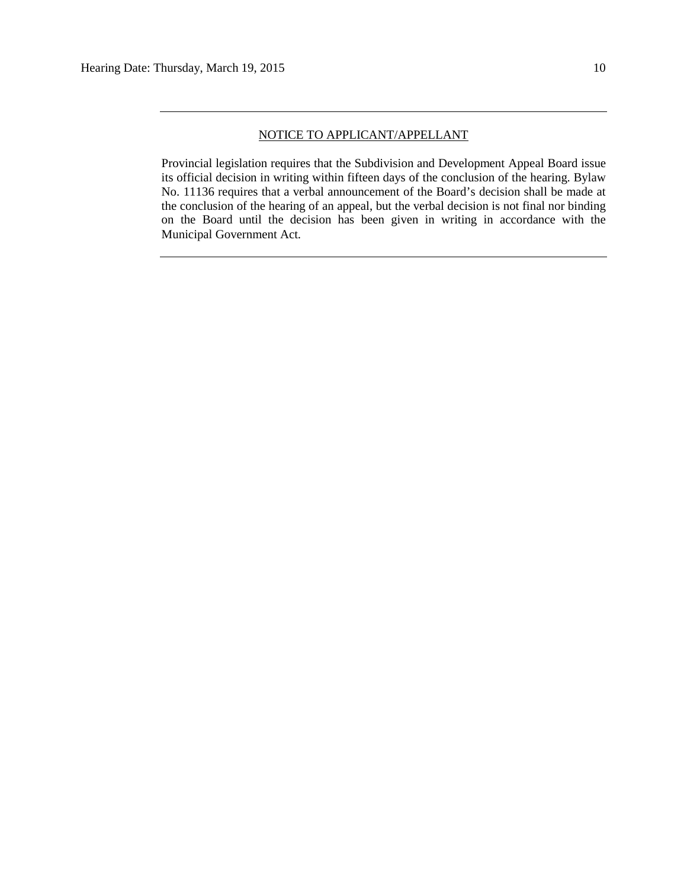Provincial legislation requires that the Subdivision and Development Appeal Board issue its official decision in writing within fifteen days of the conclusion of the hearing. Bylaw No. 11136 requires that a verbal announcement of the Board's decision shall be made at the conclusion of the hearing of an appeal, but the verbal decision is not final nor binding on the Board until the decision has been given in writing in accordance with the Municipal Government Act.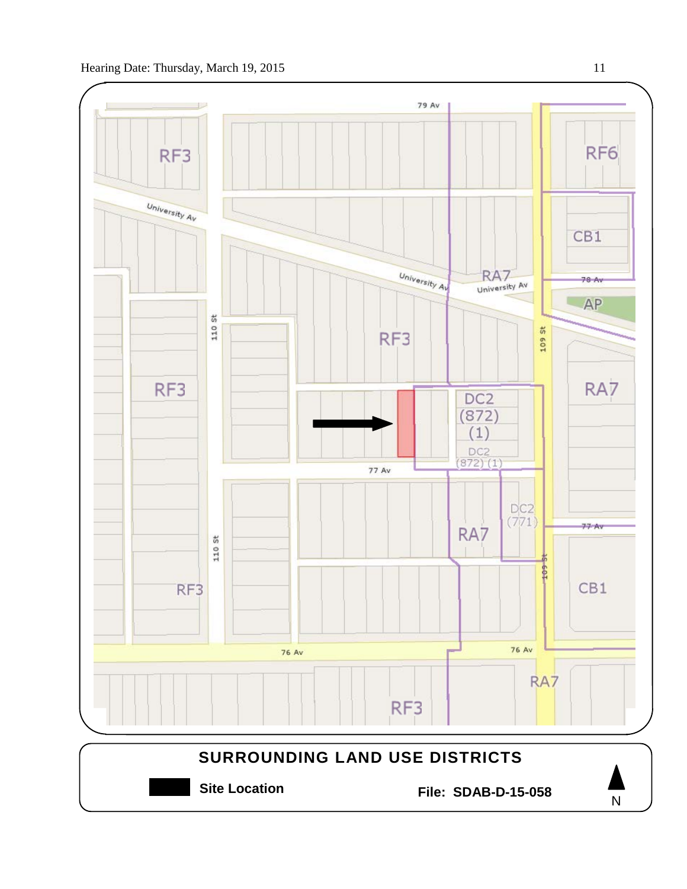



**Site Location File: SDAB-D-15-058**

N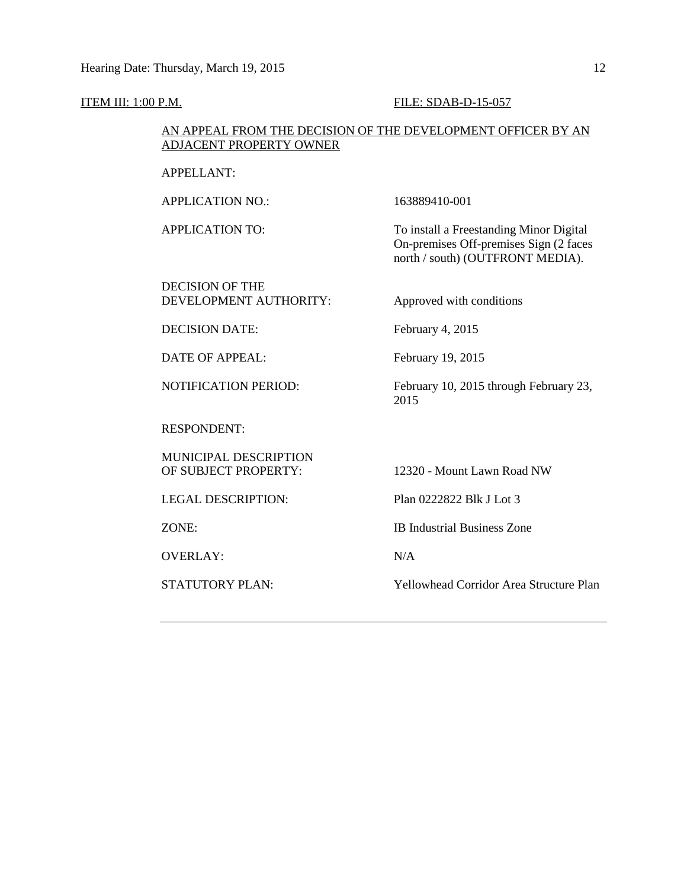### **ITEM III: 1:00 P.M. FILE: SDAB-D-15-057**

## AN APPEAL FROM THE DECISION OF THE DEVELOPMENT OFFICER BY AN ADJACENT PROPERTY OWNER

APPELLANT:

APPLICATION NO.: 163889410-001

APPLICATION TO: To install a Freestanding Minor Digital

DECISION OF THE DEVELOPMENT AUTHORITY: Approved with conditions

On-premises Off-premises Sign (2 faces north / south) (OUTFRONT MEDIA).

DECISION DATE: February 4, 2015

DATE OF APPEAL: February 19, 2015

NOTIFICATION PERIOD: February 10, 2015 through February 23,

RESPONDENT:

MUNICIPAL DESCRIPTION OF SUBJECT PROPERTY: 12320 - Mount Lawn Road NW

LEGAL DESCRIPTION: Plan 0222822 Blk J Lot 3

OVERLAY: N/A

ZONE: IB Industrial Business Zone

2015

STATUTORY PLAN: Yellowhead Corridor Area Structure Plan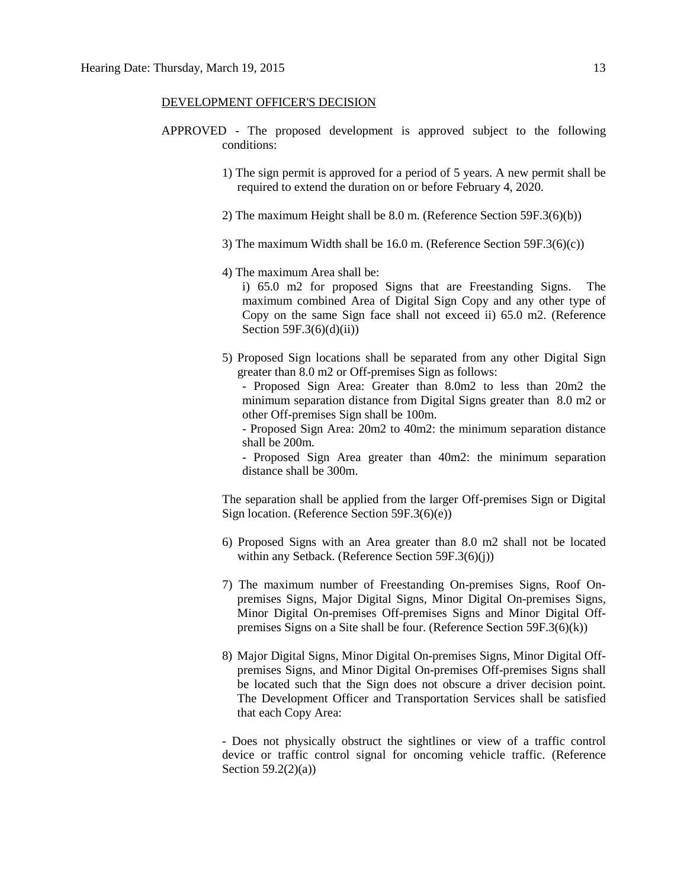### DEVELOPMENT OFFICER'S DECISION

- APPROVED The proposed development is approved subject to the following conditions:
	- 1) The sign permit is approved for a period of 5 years. A new permit shall be required to extend the duration on or before February 4, 2020.
	- 2) The maximum Height shall be 8.0 m. (Reference Section 59F.3(6)(b))
	- 3) The maximum Width shall be 16.0 m. (Reference Section 59F.3(6)(c))
	- 4) The maximum Area shall be:

i) 65.0 m2 for proposed Signs that are Freestanding Signs. The maximum combined Area of Digital Sign Copy and any other type of Copy on the same Sign face shall not exceed ii) 65.0 m2. (Reference Section  $59F.3(6)(d)(ii)$ )

5) Proposed Sign locations shall be separated from any other Digital Sign greater than 8.0 m2 or Off-premises Sign as follows:

- Proposed Sign Area: Greater than 8.0m2 to less than 20m2 the minimum separation distance from Digital Signs greater than 8.0 m2 or other Off-premises Sign shall be 100m.

- Proposed Sign Area: 20m2 to 40m2: the minimum separation distance shall be 200m.

- Proposed Sign Area greater than 40m2: the minimum separation distance shall be 300m.

The separation shall be applied from the larger Off-premises Sign or Digital Sign location. (Reference Section 59F.3(6)(e))

- 6) Proposed Signs with an Area greater than 8.0 m2 shall not be located within any Setback. (Reference Section 59F.3(6)(j))
- 7) The maximum number of Freestanding On-premises Signs, Roof Onpremises Signs, Major Digital Signs, Minor Digital On-premises Signs, Minor Digital On-premises Off-premises Signs and Minor Digital Offpremises Signs on a Site shall be four. (Reference Section 59F.3(6)(k))
- 8) Major Digital Signs, Minor Digital On-premises Signs, Minor Digital Offpremises Signs, and Minor Digital On-premises Off-premises Signs shall be located such that the Sign does not obscure a driver decision point. The Development Officer and Transportation Services shall be satisfied that each Copy Area:

- Does not physically obstruct the sightlines or view of a traffic control device or traffic control signal for oncoming vehicle traffic. (Reference Section  $59.2(2)(a)$ )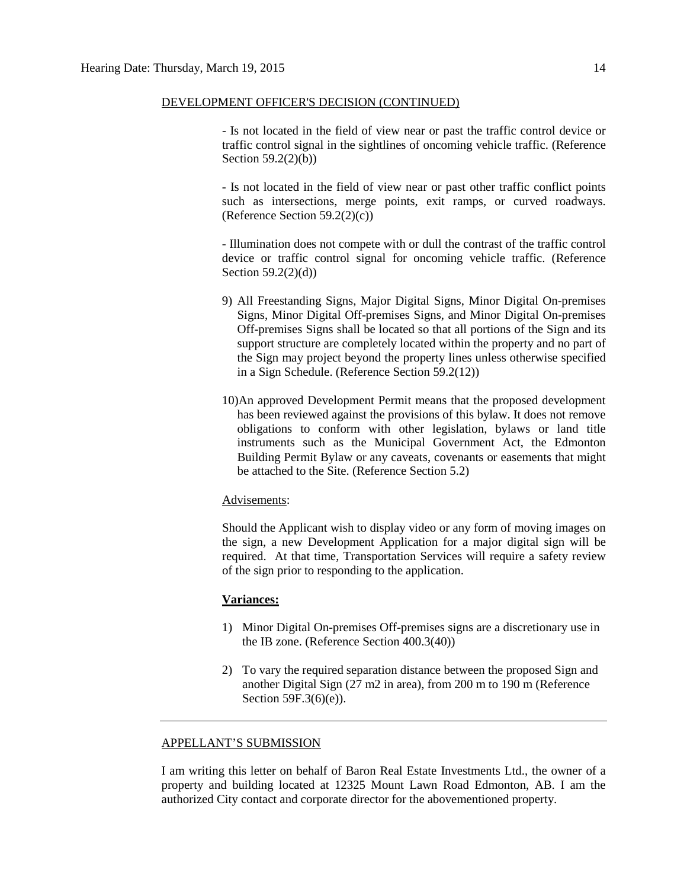### DEVELOPMENT OFFICER'S DECISION (CONTINUED)

- Is not located in the field of view near or past the traffic control device or traffic control signal in the sightlines of oncoming vehicle traffic. (Reference Section 59.2(2)(b))

- Is not located in the field of view near or past other traffic conflict points such as intersections, merge points, exit ramps, or curved roadways. (Reference Section 59.2(2)(c))

- Illumination does not compete with or dull the contrast of the traffic control device or traffic control signal for oncoming vehicle traffic. (Reference Section 59.2(2)(d))

- 9) All Freestanding Signs, Major Digital Signs, Minor Digital On-premises Signs, Minor Digital Off-premises Signs, and Minor Digital On-premises Off-premises Signs shall be located so that all portions of the Sign and its support structure are completely located within the property and no part of the Sign may project beyond the property lines unless otherwise specified in a Sign Schedule. (Reference Section 59.2(12))
- 10)An approved Development Permit means that the proposed development has been reviewed against the provisions of this bylaw. It does not remove obligations to conform with other legislation, bylaws or land title instruments such as the Municipal Government Act, the Edmonton Building Permit Bylaw or any caveats, covenants or easements that might be attached to the Site. (Reference Section 5.2)

## Advisements:

Should the Applicant wish to display video or any form of moving images on the sign, a new Development Application for a major digital sign will be required. At that time, Transportation Services will require a safety review of the sign prior to responding to the application.

### **Variances:**

- 1) Minor Digital On-premises Off-premises signs are a discretionary use in the IB zone. (Reference Section 400.3(40))
- 2) To vary the required separation distance between the proposed Sign and another Digital Sign (27 m2 in area), from 200 m to 190 m (Reference Section 59F.3(6)(e)).

### APPELLANT'S SUBMISSION

I am writing this letter on behalf of Baron Real Estate Investments Ltd., the owner of a property and building located at 12325 Mount Lawn Road Edmonton, AB. I am the authorized City contact and corporate director for the abovementioned property.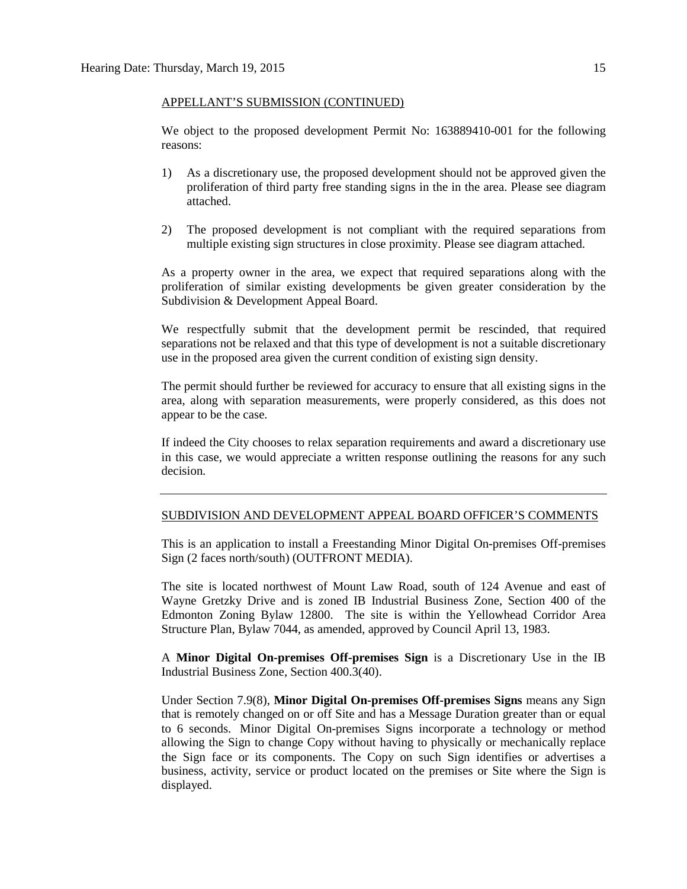### APPELLANT'S SUBMISSION (CONTINUED)

We object to the proposed development Permit No: 163889410-001 for the following reasons:

- 1) As a discretionary use, the proposed development should not be approved given the proliferation of third party free standing signs in the in the area. Please see diagram attached.
- 2) The proposed development is not compliant with the required separations from multiple existing sign structures in close proximity. Please see diagram attached.

As a property owner in the area, we expect that required separations along with the proliferation of similar existing developments be given greater consideration by the Subdivision & Development Appeal Board.

We respectfully submit that the development permit be rescinded, that required separations not be relaxed and that this type of development is not a suitable discretionary use in the proposed area given the current condition of existing sign density.

The permit should further be reviewed for accuracy to ensure that all existing signs in the area, along with separation measurements, were properly considered, as this does not appear to be the case.

If indeed the City chooses to relax separation requirements and award a discretionary use in this case, we would appreciate a written response outlining the reasons for any such decision.

### SUBDIVISION AND DEVELOPMENT APPEAL BOARD OFFICER'S COMMENTS

This is an application to install a Freestanding Minor Digital On-premises Off-premises Sign (2 faces north/south) (OUTFRONT MEDIA).

The site is located northwest of Mount Law Road, south of 124 Avenue and east of Wayne Gretzky Drive and is zoned IB Industrial Business Zone, Section 400 of the Edmonton Zoning Bylaw 12800. The site is within the Yellowhead Corridor Area Structure Plan, Bylaw 7044, as amended, approved by Council April 13, 1983.

A **Minor Digital On-premises Off-premises Sign** is a Discretionary Use in the IB Industrial Business Zone, Section 400.3(40).

Under Section 7.9(8), **Minor Digital On-premises Off-premises Signs** means any Sign that is remotely changed on or off Site and has a Message Duration greater than or equal to 6 seconds. Minor Digital On-premises Signs incorporate a technology or method allowing the Sign to change Copy without having to physically or mechanically replace the Sign face or its components. The Copy on such Sign identifies or advertises a business, activity, service or product located on the premises or Site where the Sign is displayed.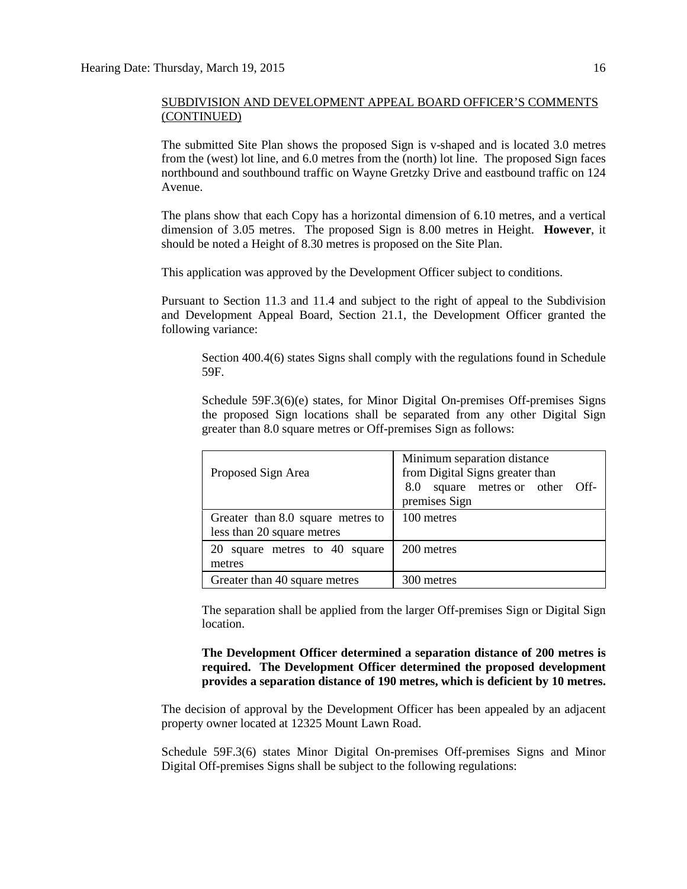The submitted Site Plan shows the proposed Sign is v-shaped and is located 3.0 metres from the (west) lot line, and 6.0 metres from the (north) lot line. The proposed Sign faces northbound and southbound traffic on Wayne Gretzky Drive and eastbound traffic on 124 Avenue.

The plans show that each Copy has a horizontal dimension of 6.10 metres, and a vertical dimension of 3.05 metres. The proposed Sign is 8.00 metres in Height. **However**, it should be noted a Height of 8.30 metres is proposed on the Site Plan.

This application was approved by the Development Officer subject to conditions.

Pursuant to Section 11.3 and 11.4 and subject to the right of appeal to the Subdivision and Development Appeal Board, Section 21.1, the Development Officer granted the following variance:

Section 400.4(6) states Signs shall comply with the regulations found in Schedule 59F.

Schedule 59F.3(6)(e) states, for Minor Digital On-premises Off-premises Signs the proposed Sign locations shall be separated from any other Digital Sign greater than 8.0 square metres or Off-premises Sign as follows:

| Proposed Sign Area                | Minimum separation distance<br>from Digital Signs greater than<br>square metres or other Off-<br>8.0<br>premises Sign |
|-----------------------------------|-----------------------------------------------------------------------------------------------------------------------|
| Greater than 8.0 square metres to | 100 metres                                                                                                            |
| less than 20 square metres        |                                                                                                                       |
| 20 square metres to 40 square     | 200 metres                                                                                                            |
| metres                            |                                                                                                                       |
| Greater than 40 square metres     | 300 metres                                                                                                            |

The separation shall be applied from the larger Off-premises Sign or Digital Sign location.

**The Development Officer determined a separation distance of 200 metres is required. The Development Officer determined the proposed development provides a separation distance of 190 metres, which is deficient by 10 metres.**

The decision of approval by the Development Officer has been appealed by an adjacent property owner located at 12325 Mount Lawn Road.

Schedule 59F.3(6) states Minor Digital On-premises Off-premises Signs and Minor Digital Off-premises Signs shall be subject to the following regulations: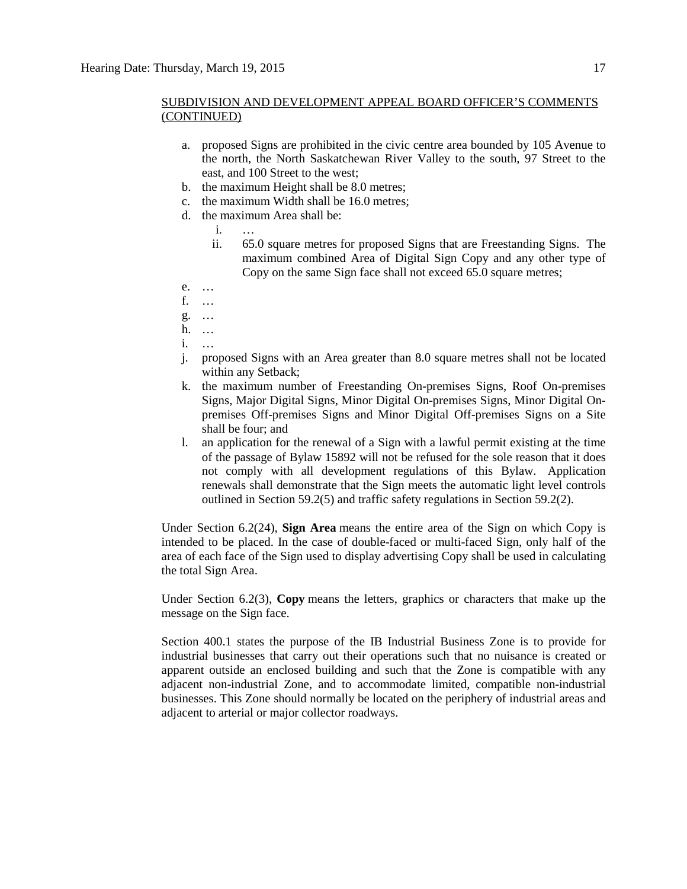- a. proposed Signs are prohibited in the civic centre area bounded by 105 Avenue to the north, the North Saskatchewan River Valley to the south, 97 Street to the east, and 100 Street to the west;
- b. the maximum Height shall be [8.0 me](javascript:void(0);)tres;
- c. the maximum Width shall be [16.0 me](javascript:void(0);)tres;
- d. the maximum Area shall be:
	- i. …
	- ii. 65.0 square metres for proposed Signs that are Freestanding Signs. The maximum combined Area of Digital Sign Copy and any other type of Copy on the same Sign face shall not exceed 65.0 square metres;
- e. …
- f. …
- g. …
- h. …
- i. …
- j. proposed Signs with an Area greater than 8.0 square metres shall not be located within any Setback;
- k. the maximum number of Freestanding On-premises Signs, Roof On-premises Signs, Major Digital Signs, Minor Digital On-premises Signs, Minor Digital Onpremises Off-premises Signs and Minor Digital Off-premises Signs on a Site shall be four; and
- l. an application for the renewal of a Sign with a lawful permit existing at the time of the passage of Bylaw 15892 will not be refused for the sole reason that it does not comply with all development regulations of this Bylaw. Application renewals shall demonstrate that the Sign meets the automatic light level controls outlined in Section 59.2(5) and traffic safety regulations in Section 59.2(2).

Under Section 6.2(24), **Sign Area** means the entire area of the Sign on which Copy is intended to be placed. In the case of double-faced or multi-faced Sign, only half of the area of each face of the Sign used to display advertising Copy shall be used in calculating the total Sign Area.

Under Section 6.2(3), **Copy** means the letters, graphics or characters that make up the message on the Sign face.

Section 400.1 states the purpose of the IB Industrial Business Zone is to provide for industrial businesses that carry out their operations such that no nuisance is created or apparent outside an enclosed building and such that the Zone is compatible with any adjacent non-industrial Zone, and to accommodate limited, compatible non-industrial businesses. This Zone should normally be located on the periphery of industrial areas and adjacent to arterial or major collector roadways.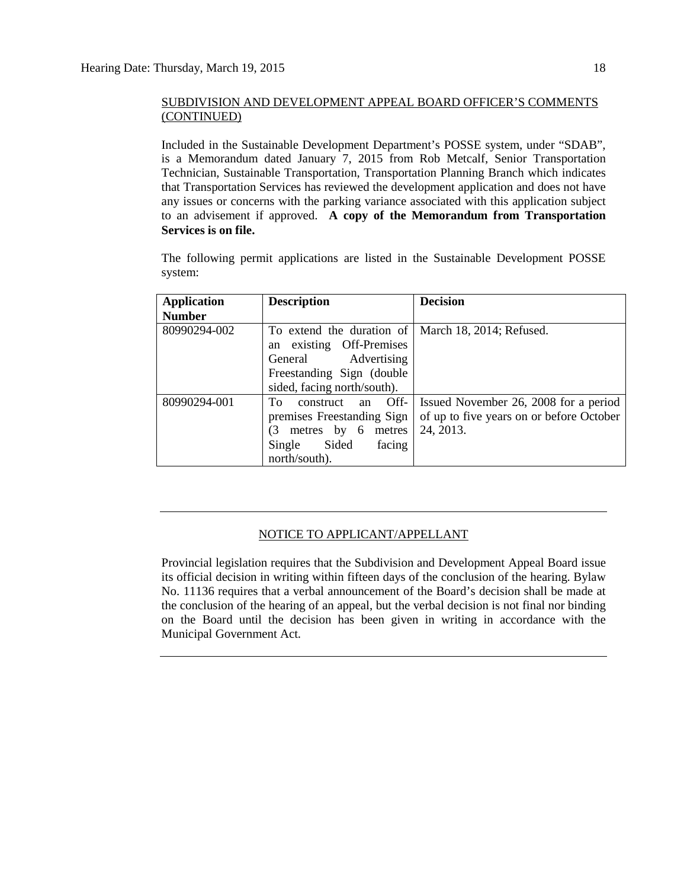Included in the Sustainable Development Department's POSSE system, under "SDAB", is a Memorandum dated January 7, 2015 from Rob Metcalf, Senior Transportation Technician, Sustainable Transportation, Transportation Planning Branch which indicates that Transportation Services has reviewed the development application and does not have any issues or concerns with the parking variance associated with this application subject to an advisement if approved. **A copy of the Memorandum from Transportation Services is on file.**

The following permit applications are listed in the Sustainable Development POSSE system:

| <b>Application</b> | <b>Description</b>                                                                  | <b>Decision</b>                          |
|--------------------|-------------------------------------------------------------------------------------|------------------------------------------|
| <b>Number</b>      |                                                                                     |                                          |
| 80990294-002       | To extend the duration of   March 18, 2014; Refused.<br>existing Off-Premises<br>an |                                          |
|                    | Advertising<br>General                                                              |                                          |
|                    | Freestanding Sign (double)                                                          |                                          |
|                    | sided, facing north/south).                                                         |                                          |
| 80990294-001       | Off-<br>To<br>construct<br>an                                                       | Issued November 26, 2008 for a period    |
|                    | premises Freestanding Sign                                                          | of up to five years on or before October |
|                    | (3<br>metres by 6<br>metres                                                         | 24, 2013.                                |
|                    | Sided<br>Single<br>facing                                                           |                                          |
|                    | north/south).                                                                       |                                          |

# NOTICE TO APPLICANT/APPELLANT

Provincial legislation requires that the Subdivision and Development Appeal Board issue its official decision in writing within fifteen days of the conclusion of the hearing. Bylaw No. 11136 requires that a verbal announcement of the Board's decision shall be made at the conclusion of the hearing of an appeal, but the verbal decision is not final nor binding on the Board until the decision has been given in writing in accordance with the Municipal Government Act.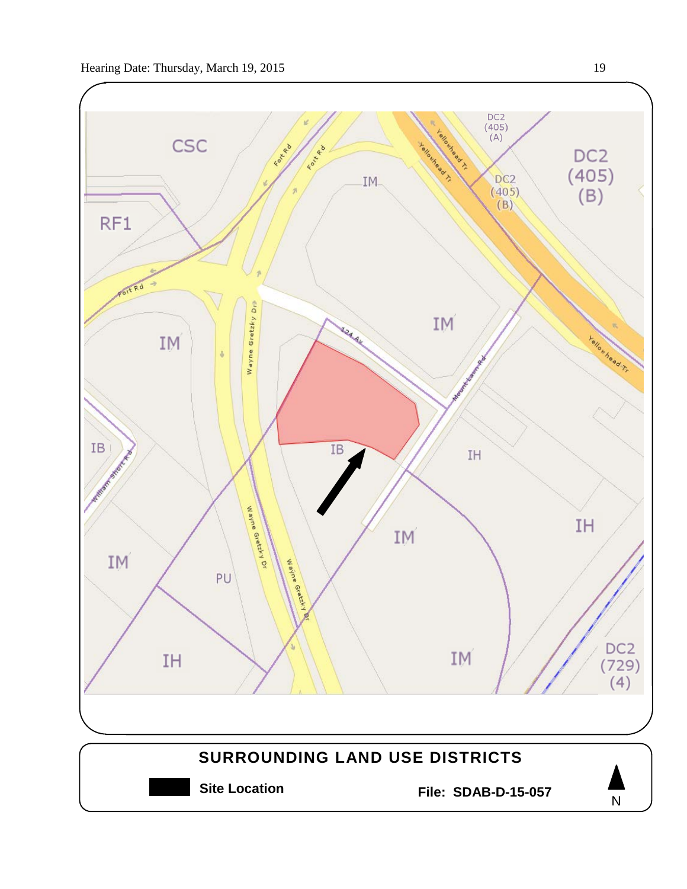